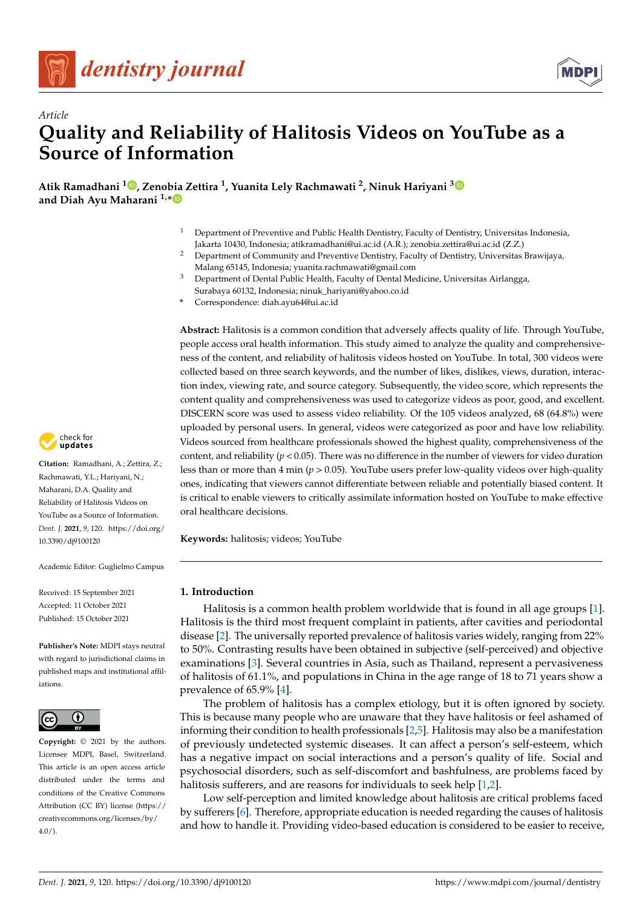



# *Article* **Quality and Reliability of Halitosis Videos on YouTube as a Source of Information**

**Atik Ramadhani <sup>1</sup> [,](https://orcid.org/0000-0001-6553-436X) Zenobia Zettira <sup>1</sup> , Yuanita Lely Rachmawati <sup>2</sup> , Ninuk Hariyani [3](https://orcid.org/0000-0003-0807-0081) and Diah Ayu Maharani 1,[\\*](https://orcid.org/0000-0001-6713-786X)**

- <sup>1</sup> Department of Preventive and Public Health Dentistry, Faculty of Dentistry, Universitas Indonesia, Jakarta 10430, Indonesia; atikramadhani@ui.ac.id (A.R.); zenobia.zettira@ui.ac.id (Z.Z.)
- <sup>2</sup> Department of Community and Preventive Dentistry, Faculty of Dentistry, Universitas Brawijaya, Malang 65145, Indonesia; yuanita.rachmawati@gmail.com
- <sup>3</sup> Department of Dental Public Health, Faculty of Dental Medicine, Universitas Airlangga, Surabaya 60132, Indonesia; ninuk\_hariyani@yahoo.co.id
- **\*** Correspondence: diah.ayu64@ui.ac.id

**Abstract:** Halitosis is a common condition that adversely affects quality of life. Through YouTube, people access oral health information. This study aimed to analyze the quality and comprehensiveness of the content, and reliability of halitosis videos hosted on YouTube. In total, 300 videos were collected based on three search keywords, and the number of likes, dislikes, views, duration, interaction index, viewing rate, and source category. Subsequently, the video score, which represents the content quality and comprehensiveness was used to categorize videos as poor, good, and excellent. DISCERN score was used to assess video reliability. Of the 105 videos analyzed, 68 (64.8%) were uploaded by personal users. In general, videos were categorized as poor and have low reliability. Videos sourced from healthcare professionals showed the highest quality, comprehensiveness of the content, and reliability ( $p < 0.05$ ). There was no difference in the number of viewers for video duration less than or more than 4 min (*p* > 0.05). YouTube users prefer low-quality videos over high-quality ones, indicating that viewers cannot differentiate between reliable and potentially biased content. It is critical to enable viewers to critically assimilate information hosted on YouTube to make effective oral healthcare decisions.

**Keywords:** halitosis; videos; YouTube

## **1. Introduction**

Halitosis is a common health problem worldwide that is found in all age groups [\[1\]](#page-7-0). Halitosis is the third most frequent complaint in patients, after cavities and periodontal disease [\[2\]](#page-7-1). The universally reported prevalence of halitosis varies widely, ranging from 22% to 50%. Contrasting results have been obtained in subjective (self-perceived) and objective examinations [\[3\]](#page-7-2). Several countries in Asia, such as Thailand, represent a pervasiveness of halitosis of 61.1%, and populations in China in the age range of 18 to 71 years show a prevalence of 65.9% [\[4\]](#page-8-0).

The problem of halitosis has a complex etiology, but it is often ignored by society. This is because many people who are unaware that they have halitosis or feel ashamed of informing their condition to health professionals [\[2,](#page-7-1)[5\]](#page-8-1). Halitosis may also be a manifestation of previously undetected systemic diseases. It can affect a person's self-esteem, which has a negative impact on social interactions and a person's quality of life. Social and psychosocial disorders, such as self-discomfort and bashfulness, are problems faced by halitosis sufferers, and are reasons for individuals to seek help [\[1](#page-7-0)[,2\]](#page-7-1).

Low self-perception and limited knowledge about halitosis are critical problems faced by sufferers [\[6\]](#page-8-2). Therefore, appropriate education is needed regarding the causes of halitosis and how to handle it. Providing video-based education is considered to be easier to receive,



**Citation:** Ramadhani, A.; Zettira, Z.; Rachmawati, Y.L.; Hariyani, N.; Maharani, D.A. Quality and Reliability of Halitosis Videos on YouTube as a Source of Information. *Dent. J.* **2021**, *9*, 120. [https://doi.org/](https://doi.org/10.3390/dj9100120) [10.3390/dj9100120](https://doi.org/10.3390/dj9100120)

Academic Editor: Guglielmo Campus

Received: 15 September 2021 Accepted: 11 October 2021 Published: 15 October 2021

**Publisher's Note:** MDPI stays neutral with regard to jurisdictional claims in published maps and institutional affiliations.



**Copyright:** © 2021 by the authors. Licensee MDPI, Basel, Switzerland. This article is an open access article distributed under the terms and conditions of the Creative Commons Attribution (CC BY) license (https:/[/](https://creativecommons.org/licenses/by/4.0/) [creativecommons.org/licenses/by/](https://creativecommons.org/licenses/by/4.0/)  $4.0/$ ).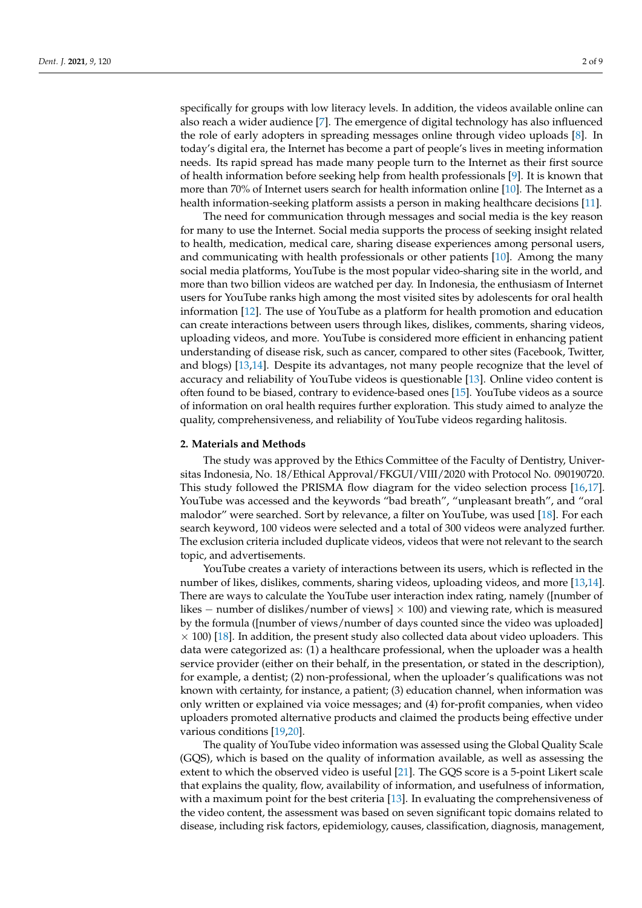specifically for groups with low literacy levels. In addition, the videos available online can also reach a wider audience [\[7\]](#page-8-3). The emergence of digital technology has also influenced the role of early adopters in spreading messages online through video uploads [\[8\]](#page-8-4). In today's digital era, the Internet has become a part of people's lives in meeting information needs. Its rapid spread has made many people turn to the Internet as their first source of health information before seeking help from health professionals [\[9\]](#page-8-5). It is known that more than 70% of Internet users search for health information online [\[10\]](#page-8-6). The Internet as a health information-seeking platform assists a person in making healthcare decisions [\[11\]](#page-8-7).

The need for communication through messages and social media is the key reason for many to use the Internet. Social media supports the process of seeking insight related to health, medication, medical care, sharing disease experiences among personal users, and communicating with health professionals or other patients [\[10\]](#page-8-6). Among the many social media platforms, YouTube is the most popular video-sharing site in the world, and more than two billion videos are watched per day. In Indonesia, the enthusiasm of Internet users for YouTube ranks high among the most visited sites by adolescents for oral health information [\[12\]](#page-8-8). The use of YouTube as a platform for health promotion and education can create interactions between users through likes, dislikes, comments, sharing videos, uploading videos, and more. YouTube is considered more efficient in enhancing patient understanding of disease risk, such as cancer, compared to other sites (Facebook, Twitter, and blogs) [\[13](#page-8-9)[,14\]](#page-8-10). Despite its advantages, not many people recognize that the level of accuracy and reliability of YouTube videos is questionable [\[13\]](#page-8-9). Online video content is often found to be biased, contrary to evidence-based ones [\[15\]](#page-8-11). YouTube videos as a source of information on oral health requires further exploration. This study aimed to analyze the quality, comprehensiveness, and reliability of YouTube videos regarding halitosis.

#### **2. Materials and Methods**

The study was approved by the Ethics Committee of the Faculty of Dentistry, Universitas Indonesia, No. 18/Ethical Approval/FKGUI/VIII/2020 with Protocol No. 090190720. This study followed the PRISMA flow diagram for the video selection process [\[16,](#page-8-12)[17\]](#page-8-13). YouTube was accessed and the keywords "bad breath", "unpleasant breath", and "oral malodor" were searched. Sort by relevance, a filter on YouTube, was used [\[18\]](#page-8-14). For each search keyword, 100 videos were selected and a total of 300 videos were analyzed further. The exclusion criteria included duplicate videos, videos that were not relevant to the search topic, and advertisements.

YouTube creates a variety of interactions between its users, which is reflected in the number of likes, dislikes, comments, sharing videos, uploading videos, and more [\[13,](#page-8-9)[14\]](#page-8-10). There are ways to calculate the YouTube user interaction index rating, namely ([number of likes − number of dislikes/number of views] × 100) and viewing rate, which is measured by the formula ([number of views/number of days counted since the video was uploaded]  $\times$  100) [\[18\]](#page-8-14). In addition, the present study also collected data about video uploaders. This data were categorized as: (1) a healthcare professional, when the uploader was a health service provider (either on their behalf, in the presentation, or stated in the description), for example, a dentist; (2) non-professional, when the uploader's qualifications was not known with certainty, for instance, a patient; (3) education channel, when information was only written or explained via voice messages; and (4) for-profit companies, when video uploaders promoted alternative products and claimed the products being effective under various conditions [\[19,](#page-8-15)[20\]](#page-8-16).

The quality of YouTube video information was assessed using the Global Quality Scale (GQS), which is based on the quality of information available, as well as assessing the extent to which the observed video is useful [\[21\]](#page-8-17). The GQS score is a 5-point Likert scale that explains the quality, flow, availability of information, and usefulness of information, with a maximum point for the best criteria [\[13\]](#page-8-9). In evaluating the comprehensiveness of the video content, the assessment was based on seven significant topic domains related to disease, including risk factors, epidemiology, causes, classification, diagnosis, management,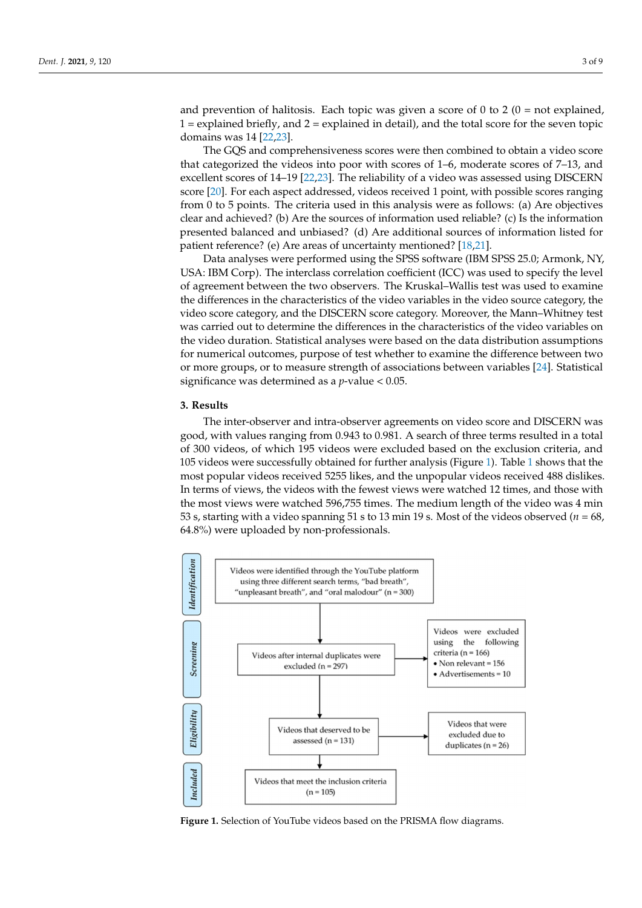and prevention of halitosis. Each topic was given a score of 0 to 2 ( $0 = not$  explained,  $1 =$  explained briefly, and  $2 =$  explained in detail), and the total score for the seven topic domains was 14 [\[22,](#page-8-18)[23\]](#page-8-19).

The GQS and comprehensiveness scores were then combined to obtain a video score that categorized the videos into poor with scores of 1–6, moderate scores of 7–13, and excellent scores of 14–19 [\[22](#page-8-18)[,23\]](#page-8-19). The reliability of a video was assessed using DISCERN score [\[20\]](#page-8-16). For each aspect addressed, videos received 1 point, with possible scores ranging from 0 to 5 points. The criteria used in this analysis were as follows: (a) Are objectives clear and achieved? (b) Are the sources of information used reliable? (c) Is the information presented balanced and unbiased? (d) Are additional sources of information listed for patient reference? (e) Are areas of uncertainty mentioned? [\[18,](#page-8-14)[21\]](#page-8-17).

Data analyses were performed using the SPSS software (IBM SPSS 25.0; Armonk, NY, USA: IBM Corp). The interclass correlation coefficient (ICC) was used to specify the level of agreement between the two observers. The Kruskal–Wallis test was used to examine the differences in the characteristics of the video variables in the video source category, the video score category, and the DISCERN score category. Moreover, the Mann–Whitney test was carried out to determine the differences in the characteristics of the video variables on the video duration. Statistical analyses were based on the data distribution assumptions for numerical outcomes, purpose of test whether to examine the difference between two or more groups, or to measure strength of associations between variables [\[24\]](#page-8-20). Statistical significance was determined as a *p*-value < 0.05.

## **3. Results**

The inter-observer and intra-observer agreements on video score and DISCERN was good, with values ranging from 0.943 to 0.981. A search of three terms resulted in a total of 300 videos, of which 195 videos were excluded based on the exclusion criteria, and 105 videos were successfully obtained for further analysis (Figure [1\)](#page-2-0). Table [1](#page-3-0) shows that the most popular videos received 5255 likes, and the unpopular videos received 488 dislikes. In terms of views, the videos with the fewest views were watched 12 times, and those with the most views were watched 596,755 times. The medium length of the video was 4 min 53 s, starting with a video spanning 51 s to 13 min 19 s. Most of the videos observed ( $n = 68$ , 64.8%) were uploaded by non-professionals.

<span id="page-2-0"></span>

**Figure 1.** Selection of YouTube videos based on the PRISMA flow diagrams. **Figure 1.** Selection of YouTube videos based on the PRISMA flow diagrams.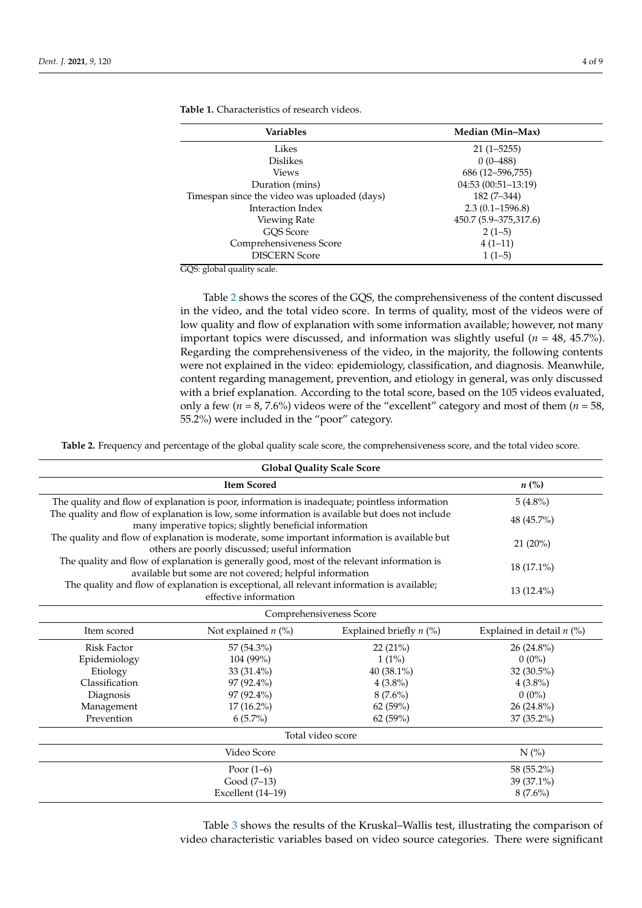| <b>Variables</b>                             | Median (Min-Max)      |
|----------------------------------------------|-----------------------|
| Likes                                        | $21(1 - 5255)$        |
| <b>Dislikes</b>                              | $0(0-488)$            |
| Views                                        | 686 (12-596,755)      |
| Duration (mins)                              | $04:53(00:51-13:19)$  |
| Timespan since the video was uploaded (days) | $182(7-344)$          |
| Interaction Index                            | $2.3(0.1 - 1596.8)$   |
| Viewing Rate                                 | 450.7 (5.9–375,317.6) |
| GOS Score                                    | $2(1-5)$              |
| Comprehensiveness Score                      | $4(1-11)$             |
| <b>DISCERN Score</b>                         | $1(1-5)$              |

<span id="page-3-0"></span>**Table 1.** Characteristics of research videos.

GQS: global quality scale.

Table [2](#page-3-1) shows the scores of the GQS, the comprehensiveness of the content discussed in the video, and the total video score. In terms of quality, most of the videos were of low quality and flow of explanation with some information available; however, not many important topics were discussed, and information was slightly useful (*n* = 48, 45.7%). Regarding the comprehensiveness of the video, in the majority, the following contents were not explained in the video: epidemiology, classification, and diagnosis. Meanwhile, content regarding management, prevention, and etiology in general, was only discussed with a brief explanation. According to the total score, based on the 105 videos evaluated, only a few ( $n = 8$ , 7.6%) videos were of the "excellent" category and most of them ( $n = 58$ , 55.2%) were included in the "poor" category.

<span id="page-3-1"></span>**Table 2.** Frequency and percentage of the global quality scale score, the comprehensiveness score, and the total video score.

| <b>Global Quality Scale Score</b>                                                                                                                                              |                                                                                                                                                           |                           |                             |  |  |
|--------------------------------------------------------------------------------------------------------------------------------------------------------------------------------|-----------------------------------------------------------------------------------------------------------------------------------------------------------|---------------------------|-----------------------------|--|--|
|                                                                                                                                                                                | $n\left(\%\right)$                                                                                                                                        |                           |                             |  |  |
| The quality and flow of explanation is poor, information is inadequate; pointless information                                                                                  | $5(4.8\%)$                                                                                                                                                |                           |                             |  |  |
|                                                                                                                                                                                | The quality and flow of explanation is low, some information is available but does not include<br>many imperative topics; slightly beneficial information |                           | 48 (45.7%)                  |  |  |
|                                                                                                                                                                                | The quality and flow of explanation is moderate, some important information is available but<br>others are poorly discussed; useful information           |                           | 21 (20%)                    |  |  |
| The quality and flow of explanation is generally good, most of the relevant information is                                                                                     | $18(17.1\%)$                                                                                                                                              |                           |                             |  |  |
| available but some are not covered; helpful information<br>The quality and flow of explanation is exceptional, all relevant information is available;<br>effective information |                                                                                                                                                           |                           | $13(12.4\%)$                |  |  |
|                                                                                                                                                                                |                                                                                                                                                           | Comprehensiveness Score   |                             |  |  |
| Item scored                                                                                                                                                                    | Not explained $n$ (%)                                                                                                                                     | Explained briefly $n$ (%) | Explained in detail $n$ (%) |  |  |
| <b>Risk Factor</b>                                                                                                                                                             | 57 (54.3%)                                                                                                                                                | 22 (21%)                  | 26 (24.8%)                  |  |  |
| Epidemiology                                                                                                                                                                   | 104 (99%)                                                                                                                                                 | $1(1\%)$                  | $0(0\%)$                    |  |  |
| Etiology                                                                                                                                                                       | 33 (31.4%)                                                                                                                                                | 40 (38.1%)                | 32 (30.5%)                  |  |  |
| Classification                                                                                                                                                                 | 97 (92.4%)                                                                                                                                                | $4(3.8\%)$                | $4(3.8\%)$                  |  |  |
| Diagnosis                                                                                                                                                                      | 97 (92.4%)                                                                                                                                                | $8(7.6\%)$                | $0(0\%)$                    |  |  |
| Management                                                                                                                                                                     | 17 (16.2%)                                                                                                                                                | 62 (59%)                  | 26 (24.8%)                  |  |  |
| Prevention                                                                                                                                                                     | $6(5.7\%)$                                                                                                                                                | 62 (59%)                  | 37 (35.2%)                  |  |  |
| Total video score                                                                                                                                                              |                                                                                                                                                           |                           |                             |  |  |
|                                                                                                                                                                                | Video Score                                                                                                                                               |                           | $N$ (%)                     |  |  |
|                                                                                                                                                                                | Poor $(1-6)$                                                                                                                                              |                           | 58 (55.2%)                  |  |  |
| Good (7-13)                                                                                                                                                                    |                                                                                                                                                           |                           | 39 (37.1%)                  |  |  |
| Excellent (14-19)                                                                                                                                                              |                                                                                                                                                           |                           | $8(7.6\%)$                  |  |  |

Table [3](#page-4-0) shows the results of the Kruskal–Wallis test, illustrating the comparison of video characteristic variables based on video source categories. There were significant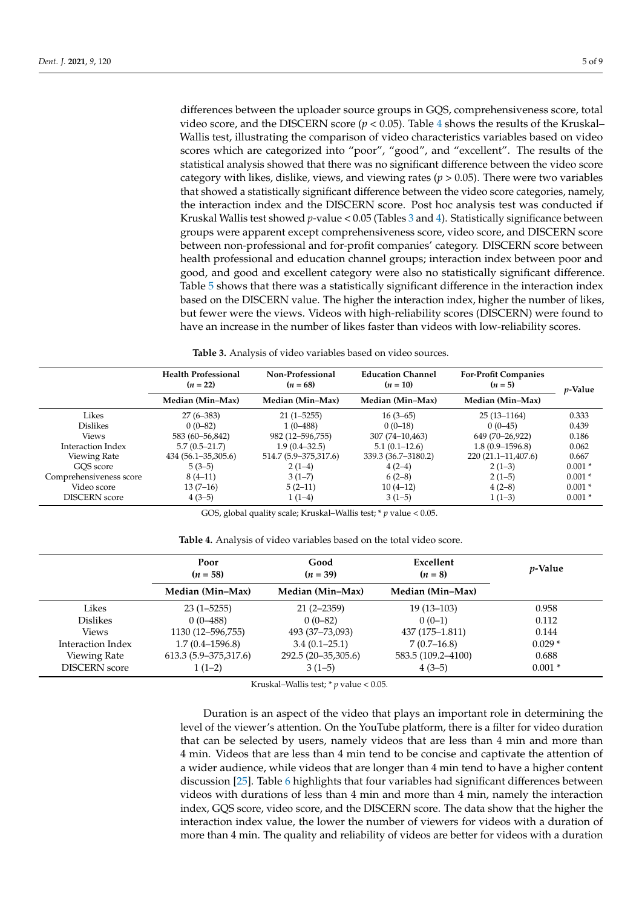differences between the uploader source groups in GQS, comprehensiveness score, total video score, and the DISCERN score ( $p < 0.05$ ). Table [4](#page-4-1) shows the results of the Kruskal– Wallis test, illustrating the comparison of video characteristics variables based on video scores which are categorized into "poor", "good", and "excellent". The results of the statistical analysis showed that there was no significant difference between the video score category with likes, dislike, views, and viewing rates ( $p > 0.05$ ). There were two variables that showed a statistically significant difference between the video score categories, namely, the interaction index and the DISCERN score. Post hoc analysis test was conducted if Kruskal Wallis test showed *p*-value < 0.05 (Tables [3](#page-4-0) and [4\)](#page-4-1). Statistically significance between groups were apparent except comprehensiveness score, video score, and DISCERN score between non-professional and for-profit companies' category. DISCERN score between health professional and education channel groups; interaction index between poor and good, and good and excellent category were also no statistically significant difference. Table [5](#page-5-0) shows that there was a statistically significant difference in the interaction index based on the DISCERN value. The higher the interaction index, higher the number of likes, but fewer were the views. Videos with high-reliability scores (DISCERN) were found to have an increase in the number of likes faster than videos with low-reliability scores.

**Table 3.** Analysis of video variables based on video sources.

<span id="page-4-0"></span>

|                         | <b>Health Professional</b><br>$(n = 22)$ | Non-Professional<br>$(n = 68)$ | <b>Education Channel</b><br>$(n = 10)$ | <b>For-Profit Companies</b><br>$(n = 5)$ | <i>p</i> -Value |
|-------------------------|------------------------------------------|--------------------------------|----------------------------------------|------------------------------------------|-----------------|
|                         | Median (Min–Max)                         | Median (Min–Max)               | Median (Min-Max)                       | Median (Min–Max)                         |                 |
| Likes                   | $27(6-383)$                              | $21(1 - 5255)$                 | $16(3-65)$                             | $25(13-1164)$                            | 0.333           |
| <b>Dislikes</b>         | $0(0-82)$                                | $1(0-488)$                     | $0(0-18)$                              | $0(0-45)$                                | 0.439           |
| <b>Views</b>            | 583 (60 - 56,842)                        | 982 (12-596,755)               | 307 (74–10,463)                        | 649 (70-26,922)                          | 0.186           |
| Interaction Index       | $5.7(0.5-21.7)$                          | $1.9(0.4 - 32.5)$              | $5.1(0.1-12.6)$                        | $1.8(0.9 - 1596.8)$                      | 0.062           |
| Viewing Rate            | $434(56.1 - 35,305.6)$                   | 514.7 (5.9–375,317.6)          | 339.3 (36.7–3180.2)                    | $220(21.1-11,407.6)$                     | 0.667           |
| GOS score               | $5(3-5)$                                 | $2(1-4)$                       | $4(2-4)$                               | $2(1-3)$                                 | $0.001*$        |
| Comprehensiveness score | $8(4-11)$                                | $3(1-7)$                       | $6(2-8)$                               | $2(1-5)$                                 | $0.001*$        |
| Video score             | $13(7-16)$                               | $5(2-11)$                      | $10(4-12)$                             | $4(2-8)$                                 | $0.001*$        |
| <b>DISCERN</b> score    | $4(3-5)$                                 | $1(1-4)$                       | $3(1-5)$                               | $1(1-3)$                                 | $0.001*$        |

GOS, global quality scale; Kruskal–Wallis test; \* *p* value < 0.05.

<span id="page-4-1"></span>

|                      | Poor<br>$(n = 58)$    | Good<br>$(n = 39)$  | Excellent<br>$(n=8)$ | <i>p</i> -Value |
|----------------------|-----------------------|---------------------|----------------------|-----------------|
|                      | Median (Min–Max)      | Median (Min–Max)    | Median (Min–Max)     |                 |
| Likes                | $23(1 - 5255)$        | $21(2 - 2359)$      | $19(13-103)$         | 0.958           |
| Dislikes             | $0(0-488)$            | $0(0-82)$           | $0(0-1)$             | 0.112           |
| <b>Views</b>         | 1130 (12–596,755)     | 493 (37–73,093)     | 437 (175–1.811)      | 0.144           |
| Interaction Index    | $1.7(0.4 - 1596.8)$   | $3.4(0.1-25.1)$     | $7(0.7-16.8)$        | $0.029*$        |
| Viewing Rate         | 613.3 (5.9–375,317.6) | 292.5 (20-35,305.6) | 583.5 (109.2–4100)   | 0.688           |
| <b>DISCERN</b> score | $1(1-2)$              | $3(1-5)$            | $4(3-5)$             | $0.001*$        |

Kruskal–Wallis test; \* *p* value < 0.05.

Duration is an aspect of the video that plays an important role in determining the level of the viewer's attention. On the YouTube platform, there is a filter for video duration that can be selected by users, namely videos that are less than 4 min and more than 4 min. Videos that are less than 4 min tend to be concise and captivate the attention of a wider audience, while videos that are longer than 4 min tend to have a higher content discussion [\[25\]](#page-8-21). Table [6](#page-5-1) highlights that four variables had significant differences between videos with durations of less than 4 min and more than 4 min, namely the interaction index, GQS score, video score, and the DISCERN score. The data show that the higher the interaction index value, the lower the number of viewers for videos with a duration of more than 4 min. The quality and reliability of videos are better for videos with a duration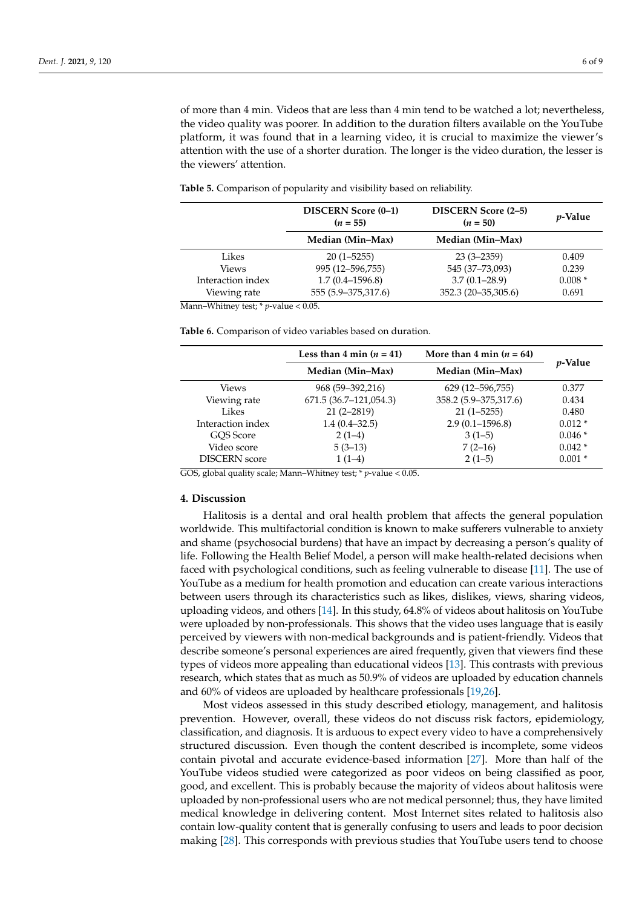of more than 4 min. Videos that are less than 4 min tend to be watched a lot; nevertheless, the video quality was poorer. In addition to the duration filters available on the YouTube platform, it was found that in a learning video, it is crucial to maximize the viewer's attention with the use of a shorter duration. The longer is the video duration, the lesser is the viewers' attention.

|                   | DISCERN Score (0-1)<br><b>DISCERN Score (2-5)</b><br>$(n = 55)$<br>$(n = 50)$ |                        | <i>v</i> -Value |
|-------------------|-------------------------------------------------------------------------------|------------------------|-----------------|
|                   | Median (Min–Max)                                                              | Median (Min–Max)       |                 |
| Likes             | $20(1 - 5255)$                                                                | $23(3 - 2359)$         | 0.409           |
| <b>Views</b>      | 995 (12-596,755)                                                              | 545 (37-73,093)        | 0.239           |
| Interaction index | $1.7(0.4 - 1596.8)$                                                           | $3.7(0.1 - 28.9)$      | $0.008*$        |
| Viewing rate      | 555 (5.9–375,317.6)                                                           | 352.3 (20 - 35, 305.6) | 0.691           |

<span id="page-5-0"></span>**Table 5.** Comparison of popularity and visibility based on reliability.

Mann–Whitney test; \* *p*-value < 0.05.

<span id="page-5-1"></span>**Table 6.** Comparison of video variables based on duration.

|                      | Less than 4 min $(n = 41)$<br>More than 4 min $(n = 64)$ |                       |                 |  |
|----------------------|----------------------------------------------------------|-----------------------|-----------------|--|
|                      | Median (Min–Max)                                         | Median (Min-Max)      | <i>p</i> -Value |  |
| Views                | 968 (59–392,216)                                         | 629 (12–596,755)      | 0.377           |  |
| Viewing rate         | 671.5 (36.7–121,054.3)                                   | 358.2 (5.9–375,317.6) | 0.434           |  |
| Likes                | $21(2 - 2819)$                                           | $21(1 - 5255)$        | 0.480           |  |
| Interaction index    | $1.4(0.4-32.5)$                                          | $2.9(0.1 - 1596.8)$   | $0.012*$        |  |
| GOS Score            | $2(1-4)$                                                 | $3(1-5)$              | $0.046*$        |  |
| Video score          | $5(3-13)$                                                | $7(2-16)$             | $0.042*$        |  |
| <b>DISCERN</b> score | $1(1-4)$                                                 | $2(1-5)$              | $0.001*$        |  |

GOS, global quality scale; Mann–Whitney test; \* *p*-value < 0.05.

#### **4. Discussion**

Halitosis is a dental and oral health problem that affects the general population worldwide. This multifactorial condition is known to make sufferers vulnerable to anxiety and shame (psychosocial burdens) that have an impact by decreasing a person's quality of life. Following the Health Belief Model, a person will make health-related decisions when faced with psychological conditions, such as feeling vulnerable to disease [\[11\]](#page-8-7). The use of YouTube as a medium for health promotion and education can create various interactions between users through its characteristics such as likes, dislikes, views, sharing videos, uploading videos, and others [\[14\]](#page-8-10). In this study, 64.8% of videos about halitosis on YouTube were uploaded by non-professionals. This shows that the video uses language that is easily perceived by viewers with non-medical backgrounds and is patient-friendly. Videos that describe someone's personal experiences are aired frequently, given that viewers find these types of videos more appealing than educational videos [\[13\]](#page-8-9). This contrasts with previous research, which states that as much as 50.9% of videos are uploaded by education channels and 60% of videos are uploaded by healthcare professionals [\[19,](#page-8-15)[26\]](#page-8-22).

Most videos assessed in this study described etiology, management, and halitosis prevention. However, overall, these videos do not discuss risk factors, epidemiology, classification, and diagnosis. It is arduous to expect every video to have a comprehensively structured discussion. Even though the content described is incomplete, some videos contain pivotal and accurate evidence-based information [\[27\]](#page-8-23). More than half of the YouTube videos studied were categorized as poor videos on being classified as poor, good, and excellent. This is probably because the majority of videos about halitosis were uploaded by non-professional users who are not medical personnel; thus, they have limited medical knowledge in delivering content. Most Internet sites related to halitosis also contain low-quality content that is generally confusing to users and leads to poor decision making [\[28\]](#page-8-24). This corresponds with previous studies that YouTube users tend to choose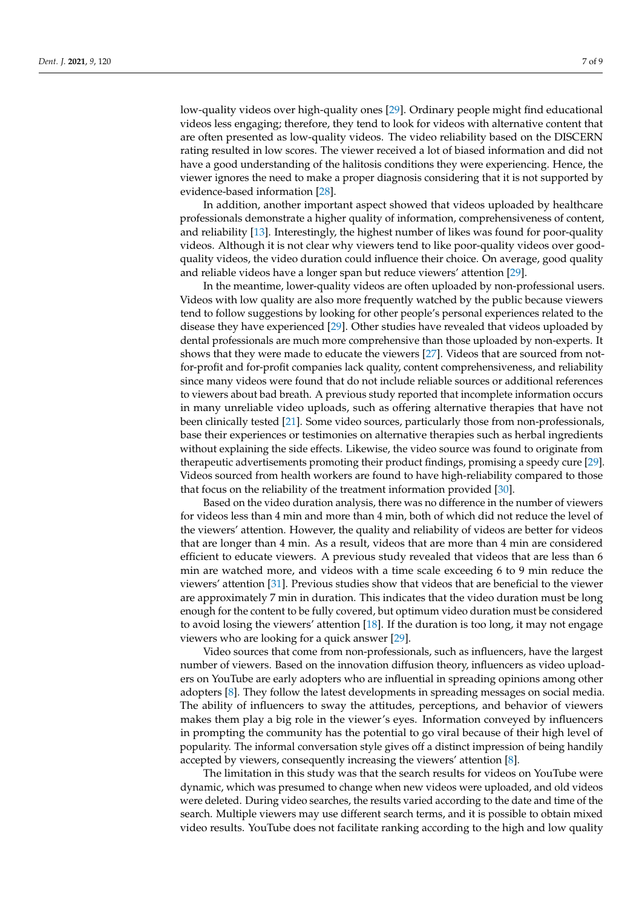low-quality videos over high-quality ones [\[29\]](#page-8-25). Ordinary people might find educational videos less engaging; therefore, they tend to look for videos with alternative content that are often presented as low-quality videos. The video reliability based on the DISCERN rating resulted in low scores. The viewer received a lot of biased information and did not have a good understanding of the halitosis conditions they were experiencing. Hence, the viewer ignores the need to make a proper diagnosis considering that it is not supported by evidence-based information [\[28\]](#page-8-24).

In addition, another important aspect showed that videos uploaded by healthcare professionals demonstrate a higher quality of information, comprehensiveness of content, and reliability [\[13\]](#page-8-9). Interestingly, the highest number of likes was found for poor-quality videos. Although it is not clear why viewers tend to like poor-quality videos over goodquality videos, the video duration could influence their choice. On average, good quality and reliable videos have a longer span but reduce viewers' attention [\[29\]](#page-8-25).

In the meantime, lower-quality videos are often uploaded by non-professional users. Videos with low quality are also more frequently watched by the public because viewers tend to follow suggestions by looking for other people's personal experiences related to the disease they have experienced [\[29\]](#page-8-25). Other studies have revealed that videos uploaded by dental professionals are much more comprehensive than those uploaded by non-experts. It shows that they were made to educate the viewers [\[27\]](#page-8-23). Videos that are sourced from notfor-profit and for-profit companies lack quality, content comprehensiveness, and reliability since many videos were found that do not include reliable sources or additional references to viewers about bad breath. A previous study reported that incomplete information occurs in many unreliable video uploads, such as offering alternative therapies that have not been clinically tested [\[21\]](#page-8-17). Some video sources, particularly those from non-professionals, base their experiences or testimonies on alternative therapies such as herbal ingredients without explaining the side effects. Likewise, the video source was found to originate from therapeutic advertisements promoting their product findings, promising a speedy cure [\[29\]](#page-8-25). Videos sourced from health workers are found to have high-reliability compared to those that focus on the reliability of the treatment information provided [\[30\]](#page-8-26).

Based on the video duration analysis, there was no difference in the number of viewers for videos less than 4 min and more than 4 min, both of which did not reduce the level of the viewers' attention. However, the quality and reliability of videos are better for videos that are longer than 4 min. As a result, videos that are more than 4 min are considered efficient to educate viewers. A previous study revealed that videos that are less than 6 min are watched more, and videos with a time scale exceeding 6 to 9 min reduce the viewers' attention [\[31\]](#page-8-27). Previous studies show that videos that are beneficial to the viewer are approximately 7 min in duration. This indicates that the video duration must be long enough for the content to be fully covered, but optimum video duration must be considered to avoid losing the viewers' attention [\[18\]](#page-8-14). If the duration is too long, it may not engage viewers who are looking for a quick answer [\[29\]](#page-8-25).

Video sources that come from non-professionals, such as influencers, have the largest number of viewers. Based on the innovation diffusion theory, influencers as video uploaders on YouTube are early adopters who are influential in spreading opinions among other adopters [\[8\]](#page-8-4). They follow the latest developments in spreading messages on social media. The ability of influencers to sway the attitudes, perceptions, and behavior of viewers makes them play a big role in the viewer's eyes. Information conveyed by influencers in prompting the community has the potential to go viral because of their high level of popularity. The informal conversation style gives off a distinct impression of being handily accepted by viewers, consequently increasing the viewers' attention [\[8\]](#page-8-4).

The limitation in this study was that the search results for videos on YouTube were dynamic, which was presumed to change when new videos were uploaded, and old videos were deleted. During video searches, the results varied according to the date and time of the search. Multiple viewers may use different search terms, and it is possible to obtain mixed video results. YouTube does not facilitate ranking according to the high and low quality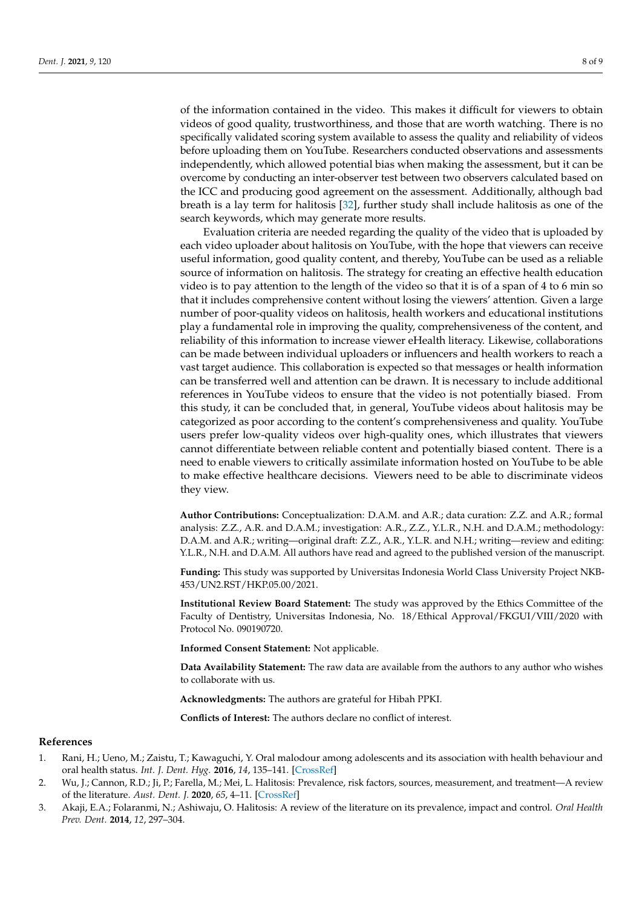of the information contained in the video. This makes it difficult for viewers to obtain videos of good quality, trustworthiness, and those that are worth watching. There is no specifically validated scoring system available to assess the quality and reliability of videos before uploading them on YouTube. Researchers conducted observations and assessments independently, which allowed potential bias when making the assessment, but it can be overcome by conducting an inter-observer test between two observers calculated based on the ICC and producing good agreement on the assessment. Additionally, although bad breath is a lay term for halitosis [\[32\]](#page-8-28), further study shall include halitosis as one of the search keywords, which may generate more results.

Evaluation criteria are needed regarding the quality of the video that is uploaded by each video uploader about halitosis on YouTube, with the hope that viewers can receive useful information, good quality content, and thereby, YouTube can be used as a reliable source of information on halitosis. The strategy for creating an effective health education video is to pay attention to the length of the video so that it is of a span of 4 to 6 min so that it includes comprehensive content without losing the viewers' attention. Given a large number of poor-quality videos on halitosis, health workers and educational institutions play a fundamental role in improving the quality, comprehensiveness of the content, and reliability of this information to increase viewer eHealth literacy. Likewise, collaborations can be made between individual uploaders or influencers and health workers to reach a vast target audience. This collaboration is expected so that messages or health information can be transferred well and attention can be drawn. It is necessary to include additional references in YouTube videos to ensure that the video is not potentially biased. From this study, it can be concluded that, in general, YouTube videos about halitosis may be categorized as poor according to the content's comprehensiveness and quality. YouTube users prefer low-quality videos over high-quality ones, which illustrates that viewers cannot differentiate between reliable content and potentially biased content. There is a need to enable viewers to critically assimilate information hosted on YouTube to be able to make effective healthcare decisions. Viewers need to be able to discriminate videos they view.

**Author Contributions:** Conceptualization: D.A.M. and A.R.; data curation: Z.Z. and A.R.; formal analysis: Z.Z., A.R. and D.A.M.; investigation: A.R., Z.Z., Y.L.R., N.H. and D.A.M.; methodology: D.A.M. and A.R.; writing—original draft: Z.Z., A.R., Y.L.R. and N.H.; writing—review and editing: Y.L.R., N.H. and D.A.M. All authors have read and agreed to the published version of the manuscript.

**Funding:** This study was supported by Universitas Indonesia World Class University Project NKB-453/UN2.RST/HKP.05.00/2021.

**Institutional Review Board Statement:** The study was approved by the Ethics Committee of the Faculty of Dentistry, Universitas Indonesia, No. 18/Ethical Approval/FKGUI/VIII/2020 with Protocol No. 090190720.

**Informed Consent Statement:** Not applicable.

**Data Availability Statement:** The raw data are available from the authors to any author who wishes to collaborate with us.

**Acknowledgments:** The authors are grateful for Hibah PPKI.

**Conflicts of Interest:** The authors declare no conflict of interest.

## **References**

- <span id="page-7-0"></span>1. Rani, H.; Ueno, M.; Zaistu, T.; Kawaguchi, Y. Oral malodour among adolescents and its association with health behaviour and oral health status. *Int. J. Dent. Hyg.* **2016**, *14*, 135–141. [\[CrossRef\]](http://doi.org/10.1111/idh.12160)
- <span id="page-7-1"></span>2. Wu, J.; Cannon, R.D.; Ji, P.; Farella, M.; Mei, L. Halitosis: Prevalence, risk factors, sources, measurement, and treatment—A review of the literature. *Aust. Dent. J.* **2020**, *65*, 4–11. [\[CrossRef\]](http://doi.org/10.1111/adj.12725)
- <span id="page-7-2"></span>3. Akaji, E.A.; Folaranmi, N.; Ashiwaju, O. Halitosis: A review of the literature on its prevalence, impact and control. *Oral Health Prev. Dent.* **2014**, *12*, 297–304.